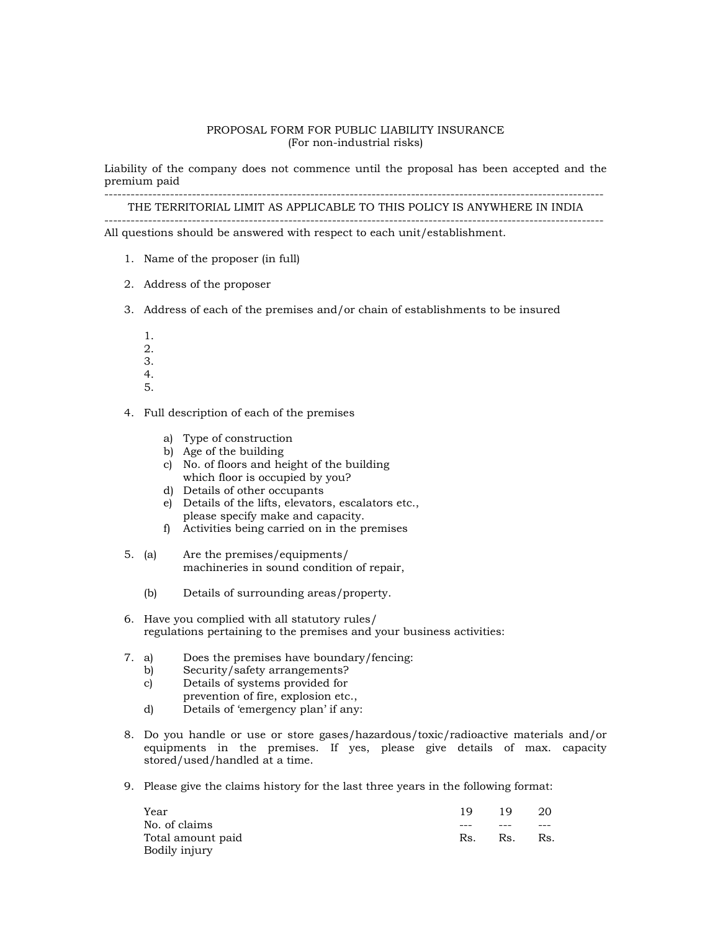# PROPOSAL FORM FOR PUBLIC LIABILITY INSURANCE (For non-industrial risks)

Liability of the company does not commence until the proposal has been accepted and the premium paid

------------------------------------------------------------------------------------------------------------------

THE TERRITORIAL LIMIT AS APPLICABLE TO THIS POLICY IS ANYWHERE IN INDIA ------------------------------------------------------------------------------------------------------------------ All questions should be answered with respect to each unit/establishment.

- - 1. Name of the proposer (in full)
	- 2. Address of the proposer
- 3. Address of each of the premises and/or chain of establishments to be insured
	- 1. 2.
	- 3.
	- 4.
	- 5.

4. Full description of each of the premises

- a) Type of construction
- b) Age of the building
- c) No. of floors and height of the building which floor is occupied by you?
- d) Details of other occupants
- e) Details of the lifts, elevators, escalators etc., please specify make and capacity.
- f) Activities being carried on in the premises
- 5. (a) Are the premises/equipments/ machineries in sound condition of repair,
	- (b) Details of surrounding areas/property.
- 6. Have you complied with all statutory rules/ regulations pertaining to the premises and your business activities:
- 7. a) Does the premises have boundary/fencing:
	- b) Security/safety arrangements?
	- c) Details of systems provided for
	- prevention of fire, explosion etc.,
	- d) Details of 'emergency plan' if any:
- 8. Do you handle or use or store gases/hazardous/toxic/radioactive materials and/or equipments in the premises. If yes, please give details of max. capacity stored/used/handled at a time.
- 9. Please give the claims history for the last three years in the following format:

| Year              | 19  | 19  | 20  |
|-------------------|-----|-----|-----|
| No. of claims     | --- | --- | --- |
| Total amount paid | Rs. | Rs. | Rs. |
| Bodily injury     |     |     |     |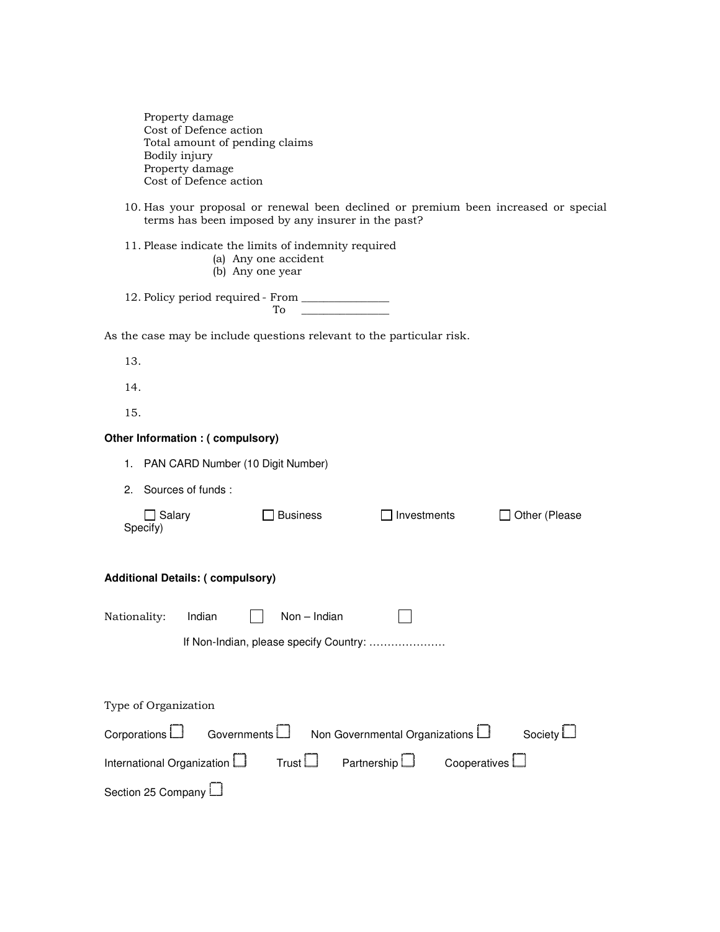Property damage Cost of Defence action Total amount of pending claims Bodily injury Property damage Cost of Defence action

10. Has your proposal or renewal been declined or premium been increased or special terms has been imposed by any insurer in the past?

11. Please indicate the limits of indemnity required

- (a) Any one accident
- (b) Any one year

12. Policy period required - From \_\_\_\_\_\_\_\_\_\_\_\_\_\_\_  $To$ 

As the case may be include questions relevant to the particular risk.

13.

14.

15.

#### **Other Information : ( compulsory)**

| 1. | PAN CARD Number (10 Digit Number) |  |
|----|-----------------------------------|--|
|----|-----------------------------------|--|

2. Sources of funds :

| Salary<br>Specify)                      |        |                | <b>Business</b> | Investments                      |  | Other (Please |  |  |  |  |  |
|-----------------------------------------|--------|----------------|-----------------|----------------------------------|--|---------------|--|--|--|--|--|
| <b>Additional Details: (compulsory)</b> |        |                |                 |                                  |  |               |  |  |  |  |  |
| Nationality:                            | Indian |                | $Non - Indian$  |                                  |  |               |  |  |  |  |  |
| If Non-Indian, please specify Country:  |        |                |                 |                                  |  |               |  |  |  |  |  |
|                                         |        |                |                 |                                  |  |               |  |  |  |  |  |
| Type of Organization                    |        |                |                 |                                  |  |               |  |  |  |  |  |
| Corporations L                          |        | Governments L. |                 | Non Governmental Organizations L |  | Society L     |  |  |  |  |  |

International Organization  $\square$  Trust  $\square$  Partnership  $\square$  Cooperatives  $\square$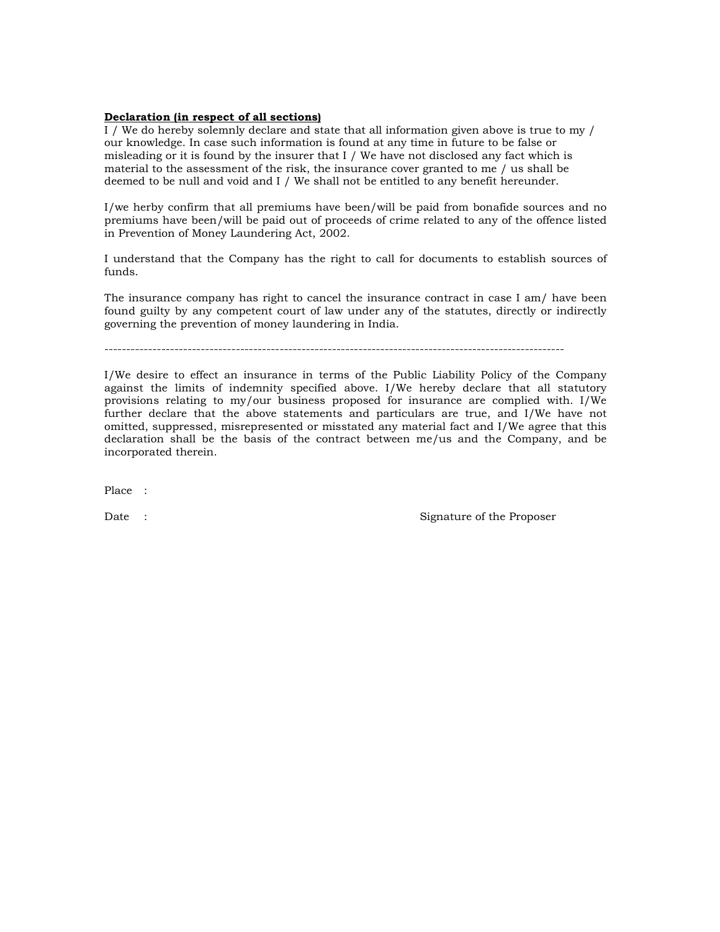## Declaration (in respect of all sections)

I / We do hereby solemnly declare and state that all information given above is true to my / our knowledge. In case such information is found at any time in future to be false or misleading or it is found by the insurer that I / We have not disclosed any fact which is material to the assessment of the risk, the insurance cover granted to me / us shall be deemed to be null and void and I / We shall not be entitled to any benefit hereunder.

I/we herby confirm that all premiums have been/will be paid from bonafide sources and no premiums have been/will be paid out of proceeds of crime related to any of the offence listed in Prevention of Money Laundering Act, 2002.

I understand that the Company has the right to call for documents to establish sources of funds.

The insurance company has right to cancel the insurance contract in case I am/ have been found guilty by any competent court of law under any of the statutes, directly or indirectly governing the prevention of money laundering in India.

---------------------------------------------------------------------------------------------------------

I/We desire to effect an insurance in terms of the Public Liability Policy of the Company against the limits of indemnity specified above. I/We hereby declare that all statutory provisions relating to my/our business proposed for insurance are complied with. I/We further declare that the above statements and particulars are true, and I/We have not omitted, suppressed, misrepresented or misstated any material fact and I/We agree that this declaration shall be the basis of the contract between me/us and the Company, and be incorporated therein.

Place :

Date : Signature of the Proposer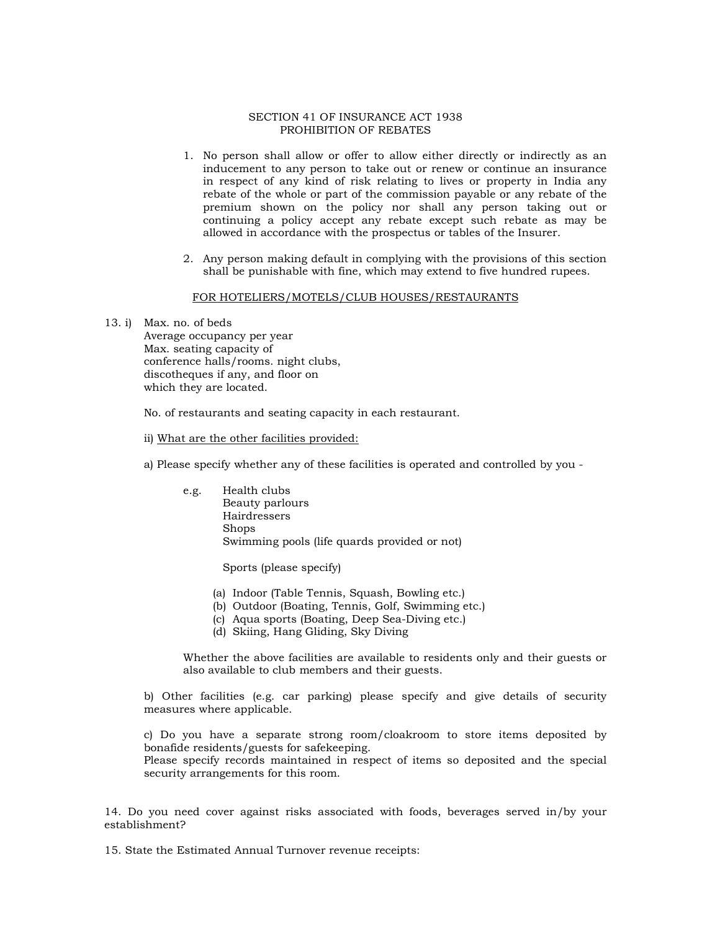#### SECTION 41 OF INSURANCE ACT 1938 PROHIBITION OF REBATES

- 1. No person shall allow or offer to allow either directly or indirectly as an inducement to any person to take out or renew or continue an insurance in respect of any kind of risk relating to lives or property in India any rebate of the whole or part of the commission payable or any rebate of the premium shown on the policy nor shall any person taking out or continuing a policy accept any rebate except such rebate as may be allowed in accordance with the prospectus or tables of the Insurer.
- 2. Any person making default in complying with the provisions of this section shall be punishable with fine, which may extend to five hundred rupees.

## FOR HOTELIERS/MOTELS/CLUB HOUSES/RESTAURANTS

13. i) Max. no. of beds

 Average occupancy per year Max. seating capacity of conference halls/rooms. night clubs, discotheques if any, and floor on which they are located.

No. of restaurants and seating capacity in each restaurant.

ii) What are the other facilities provided:

a) Please specify whether any of these facilities is operated and controlled by you -

 e.g. Health clubs Beauty parlours Hairdressers Shops Swimming pools (life quards provided or not)

Sports (please specify)

- (a) Indoor (Table Tennis, Squash, Bowling etc.)
- (b) Outdoor (Boating, Tennis, Golf, Swimming etc.)
- (c) Aqua sports (Boating, Deep Sea-Diving etc.)
- (d) Skiing, Hang Gliding, Sky Diving

Whether the above facilities are available to residents only and their guests or also available to club members and their guests.

b) Other facilities (e.g. car parking) please specify and give details of security measures where applicable.

c) Do you have a separate strong room/cloakroom to store items deposited by bonafide residents/guests for safekeeping. Please specify records maintained in respect of items so deposited and the special

security arrangements for this room.

14. Do you need cover against risks associated with foods, beverages served in/by your establishment?

15. State the Estimated Annual Turnover revenue receipts: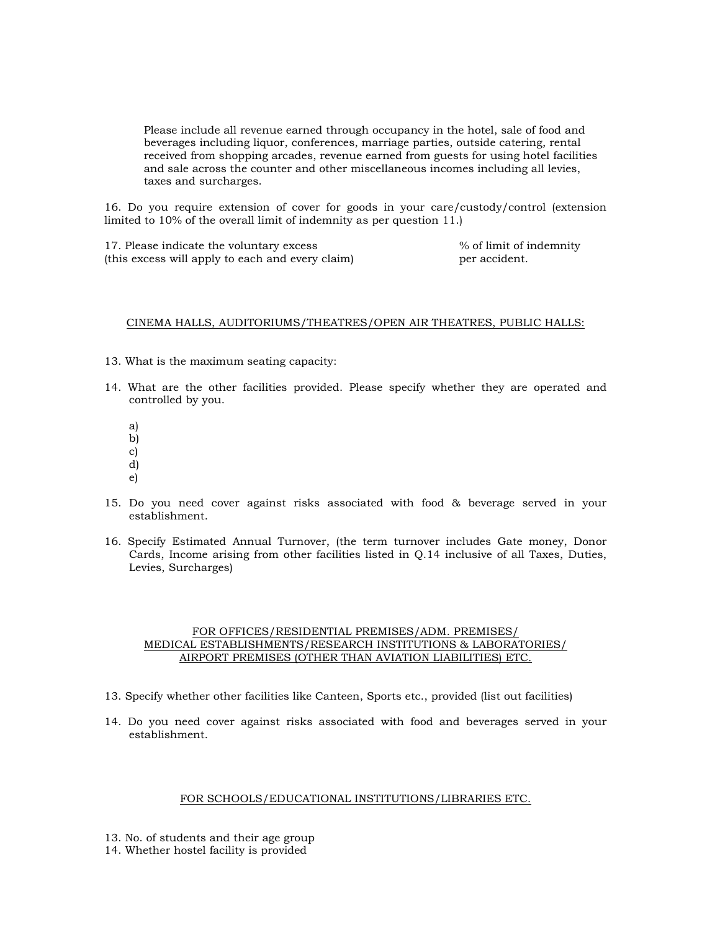Please include all revenue earned through occupancy in the hotel, sale of food and beverages including liquor, conferences, marriage parties, outside catering, rental received from shopping arcades, revenue earned from guests for using hotel facilities and sale across the counter and other miscellaneous incomes including all levies, taxes and surcharges.

16. Do you require extension of cover for goods in your care/custody/control (extension limited to 10% of the overall limit of indemnity as per question 11.)

17. Please indicate the voluntary excess  $\%$  of limit of indemnity<br>(this excess will apply to each and every claim) er accident. (this excess will apply to each and every claim)

## CINEMA HALLS, AUDITORIUMS/THEATRES/OPEN AIR THEATRES, PUBLIC HALLS:

- 13. What is the maximum seating capacity:
- 14. What are the other facilities provided. Please specify whether they are operated and controlled by you.
	- a)
	- b)
	- c)
	- d)
	- e)
- 15. Do you need cover against risks associated with food & beverage served in your establishment.
- 16. Specify Estimated Annual Turnover, (the term turnover includes Gate money, Donor Cards, Income arising from other facilities listed in Q.14 inclusive of all Taxes, Duties, Levies, Surcharges)

## FOR OFFICES/RESIDENTIAL PREMISES/ADM. PREMISES/ MEDICAL ESTABLISHMENTS/RESEARCH INSTITUTIONS & LABORATORIES/ AIRPORT PREMISES (OTHER THAN AVIATION LIABILITIES) ETC.

- 13. Specify whether other facilities like Canteen, Sports etc., provided (list out facilities)
- 14. Do you need cover against risks associated with food and beverages served in your establishment.

## FOR SCHOOLS/EDUCATIONAL INSTITUTIONS/LIBRARIES ETC.

- 13. No. of students and their age group
- 14. Whether hostel facility is provided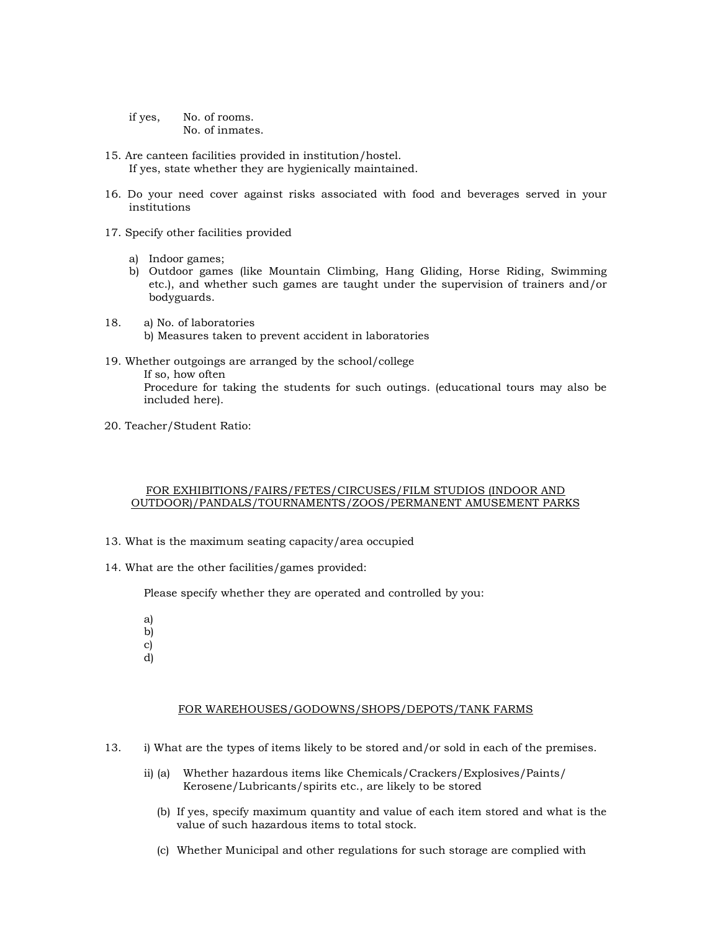if yes, No. of rooms. No. of inmates.

- 15. Are canteen facilities provided in institution/hostel. If yes, state whether they are hygienically maintained.
- 16. Do your need cover against risks associated with food and beverages served in your institutions
- 17. Specify other facilities provided
	- a) Indoor games;
	- b) Outdoor games (like Mountain Climbing, Hang Gliding, Horse Riding, Swimming etc.), and whether such games are taught under the supervision of trainers and/or bodyguards.
- 18. a) No. of laboratories b) Measures taken to prevent accident in laboratories
- 19. Whether outgoings are arranged by the school/college If so, how often Procedure for taking the students for such outings. (educational tours may also be included here).
- 20. Teacher/Student Ratio:

#### FOR EXHIBITIONS/FAIRS/FETES/CIRCUSES/FILM STUDIOS (INDOOR AND OUTDOOR)/PANDALS/TOURNAMENTS/ZOOS/PERMANENT AMUSEMENT PARKS

- 13. What is the maximum seating capacity/area occupied
- 14. What are the other facilities/games provided:

Please specify whether they are operated and controlled by you:

- a) b)
- c)
- d)

## FOR WAREHOUSES/GODOWNS/SHOPS/DEPOTS/TANK FARMS

- 13. i) What are the types of items likely to be stored and/or sold in each of the premises.
	- ii) (a) Whether hazardous items like Chemicals/Crackers/Explosives/Paints/ Kerosene/Lubricants/spirits etc., are likely to be stored
		- (b) If yes, specify maximum quantity and value of each item stored and what is the value of such hazardous items to total stock.
		- (c) Whether Municipal and other regulations for such storage are complied with